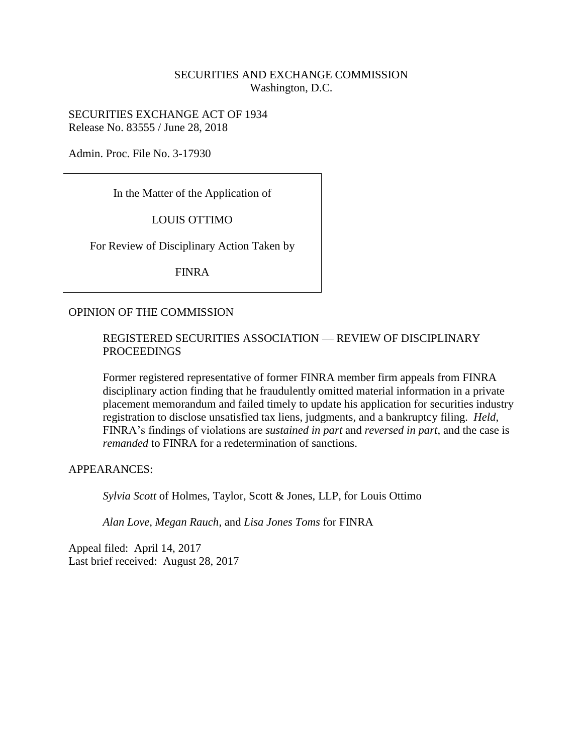## SECURITIES AND EXCHANGE COMMISSION Washington, D.C.

SECURITIES EXCHANGE ACT OF 1934 Release No. 83555 / June 28, 2018

Admin. Proc. File No. 3-17930

In the Matter of the Application of

LOUIS OTTIMO

For Review of Disciplinary Action Taken by

FINRA

#### OPINION OF THE COMMISSION

#### REGISTERED SECURITIES ASSOCIATION — REVIEW OF DISCIPLINARY PROCEEDINGS

Former registered representative of former FINRA member firm appeals from FINRA disciplinary action finding that he fraudulently omitted material information in a private placement memorandum and failed timely to update his application for securities industry registration to disclose unsatisfied tax liens, judgments, and a bankruptcy filing. *Held*, FINRA's findings of violations are *sustained in part* and *reversed in part*, and the case is *remanded* to FINRA for a redetermination of sanctions.

APPEARANCES:

*Sylvia Scott* of Holmes, Taylor, Scott & Jones, LLP, for Louis Ottimo

*Alan Love*, *Megan Rauch*, and *Lisa Jones Toms* for FINRA

Appeal filed: April 14, 2017 Last brief received: August 28, 2017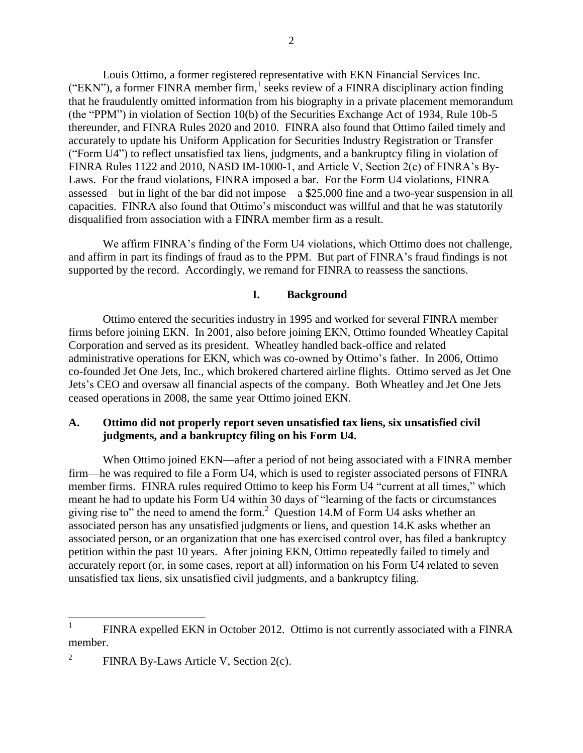Louis Ottimo, a former registered representative with EKN Financial Services Inc. ("EKN"), a former FINRA member firm,  $\frac{1}{2}$  seeks review of a FINRA disciplinary action finding that he fraudulently omitted information from his biography in a private placement memorandum (the "PPM") in violation of Section 10(b) of the Securities Exchange Act of 1934, Rule 10b-5 thereunder, and FINRA Rules 2020 and 2010. FINRA also found that Ottimo failed timely and accurately to update his Uniform Application for Securities Industry Registration or Transfer ("Form U4") to reflect unsatisfied tax liens, judgments, and a bankruptcy filing in violation of FINRA Rules 1122 and 2010, NASD IM-1000-1, and Article V, Section 2(c) of FINRA's By-Laws. For the fraud violations, FINRA imposed a bar. For the Form U4 violations, FINRA assessed—but in light of the bar did not impose—a \$25,000 fine and a two-year suspension in all capacities. FINRA also found that Ottimo's misconduct was willful and that he was statutorily disqualified from association with a FINRA member firm as a result.

We affirm FINRA's finding of the Form U4 violations, which Ottimo does not challenge, and affirm in part its findings of fraud as to the PPM. But part of FINRA's fraud findings is not supported by the record. Accordingly, we remand for FINRA to reassess the sanctions.

### **I. Background**

Ottimo entered the securities industry in 1995 and worked for several FINRA member firms before joining EKN. In 2001, also before joining EKN, Ottimo founded Wheatley Capital Corporation and served as its president. Wheatley handled back-office and related administrative operations for EKN, which was co-owned by Ottimo's father. In 2006, Ottimo co-founded Jet One Jets, Inc., which brokered chartered airline flights. Ottimo served as Jet One Jets's CEO and oversaw all financial aspects of the company. Both Wheatley and Jet One Jets ceased operations in 2008, the same year Ottimo joined EKN.

#### **A. Ottimo did not properly report seven unsatisfied tax liens, six unsatisfied civil judgments, and a bankruptcy filing on his Form U4.**

When Ottimo joined EKN—after a period of not being associated with a FINRA member firm—he was required to file a Form U4, which is used to register associated persons of FINRA member firms. FINRA rules required Ottimo to keep his Form U4 "current at all times," which meant he had to update his Form U4 within 30 days of "learning of the facts or circumstances giving rise to" the need to amend the form. $2$  Question 14.M of Form U4 asks whether an associated person has any unsatisfied judgments or liens, and question 14.K asks whether an associated person, or an organization that one has exercised control over, has filed a bankruptcy petition within the past 10 years. After joining EKN, Ottimo repeatedly failed to timely and accurately report (or, in some cases, report at all) information on his Form U4 related to seven unsatisfied tax liens, six unsatisfied civil judgments, and a bankruptcy filing.

 $\frac{1}{1}$ FINRA expelled EKN in October 2012. Ottimo is not currently associated with a FINRA member.

<sup>2</sup> FINRA By-Laws Article V, Section 2(c).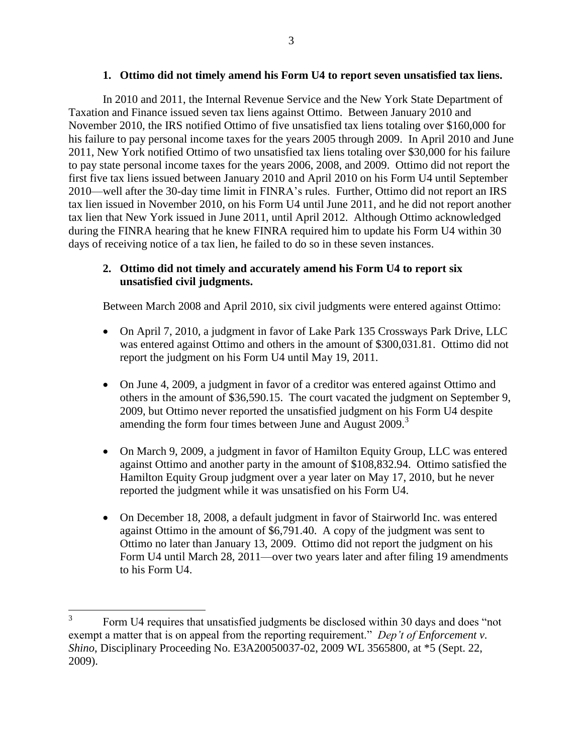#### **1. Ottimo did not timely amend his Form U4 to report seven unsatisfied tax liens.**

In 2010 and 2011, the Internal Revenue Service and the New York State Department of Taxation and Finance issued seven tax liens against Ottimo. Between January 2010 and November 2010, the IRS notified Ottimo of five unsatisfied tax liens totaling over \$160,000 for his failure to pay personal income taxes for the years 2005 through 2009. In April 2010 and June 2011, New York notified Ottimo of two unsatisfied tax liens totaling over \$30,000 for his failure to pay state personal income taxes for the years 2006, 2008, and 2009. Ottimo did not report the first five tax liens issued between January 2010 and April 2010 on his Form U4 until September 2010—well after the 30-day time limit in FINRA's rules. Further, Ottimo did not report an IRS tax lien issued in November 2010, on his Form U4 until June 2011, and he did not report another tax lien that New York issued in June 2011, until April 2012. Although Ottimo acknowledged during the FINRA hearing that he knew FINRA required him to update his Form U4 within 30 days of receiving notice of a tax lien, he failed to do so in these seven instances.

## **2. Ottimo did not timely and accurately amend his Form U4 to report six unsatisfied civil judgments.**

Between March 2008 and April 2010, six civil judgments were entered against Ottimo:

- On April 7, 2010, a judgment in favor of Lake Park 135 Crossways Park Drive, LLC was entered against Ottimo and others in the amount of \$300,031.81. Ottimo did not report the judgment on his Form U4 until May 19, 2011.
- On June 4, 2009, a judgment in favor of a creditor was entered against Ottimo and others in the amount of \$36,590.15. The court vacated the judgment on September 9, 2009, but Ottimo never reported the unsatisfied judgment on his Form U4 despite amending the form four times between June and August 2009.<sup>3</sup>
- On March 9, 2009, a judgment in favor of Hamilton Equity Group, LLC was entered against Ottimo and another party in the amount of \$108,832.94. Ottimo satisfied the Hamilton Equity Group judgment over a year later on May 17, 2010, but he never reported the judgment while it was unsatisfied on his Form U4.
- On December 18, 2008, a default judgment in favor of Stairworld Inc. was entered against Ottimo in the amount of \$6,791.40. A copy of the judgment was sent to Ottimo no later than January 13, 2009. Ottimo did not report the judgment on his Form U4 until March 28, 2011—over two years later and after filing 19 amendments to his Form U4.

<sup>3</sup> Form U4 requires that unsatisfied judgments be disclosed within 30 days and does "not exempt a matter that is on appeal from the reporting requirement." *Dep't of Enforcement v. Shino*, Disciplinary Proceeding No. E3A20050037-02, 2009 WL 3565800, at \*5 (Sept. 22, 2009).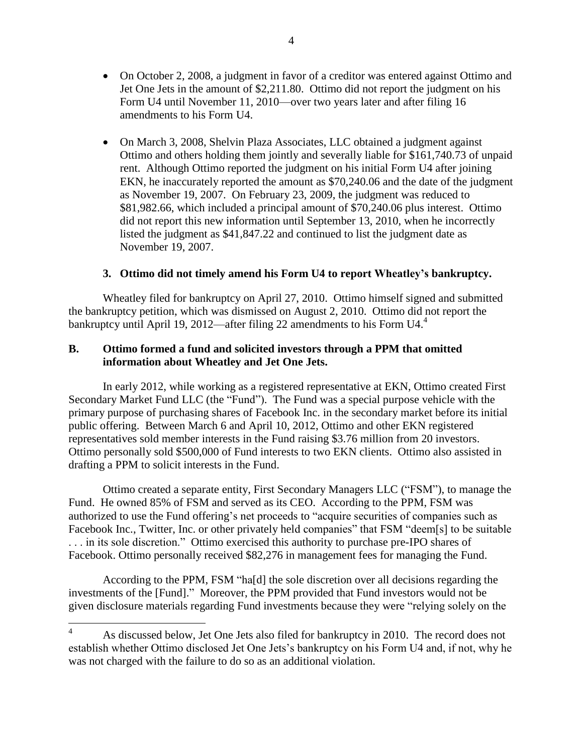On March 3, 2008, Shelvin Plaza Associates, LLC obtained a judgment against Ottimo and others holding them jointly and severally liable for \$161,740.73 of unpaid rent. Although Ottimo reported the judgment on his initial Form U4 after joining EKN, he inaccurately reported the amount as \$70,240.06 and the date of the judgment as November 19, 2007. On February 23, 2009, the judgment was reduced to \$81,982.66, which included a principal amount of \$70,240.06 plus interest. Ottimo did not report this new information until September 13, 2010, when he incorrectly listed the judgment as \$41,847.22 and continued to list the judgment date as November 19, 2007.

## **3. Ottimo did not timely amend his Form U4 to report Wheatley's bankruptcy.**

Wheatley filed for bankruptcy on April 27, 2010. Ottimo himself signed and submitted the bankruptcy petition, which was dismissed on August 2, 2010. Ottimo did not report the bankruptcy until April 19, 2012—after filing 22 amendments to his Form U4.<sup>4</sup>

### **B. Ottimo formed a fund and solicited investors through a PPM that omitted information about Wheatley and Jet One Jets.**

In early 2012, while working as a registered representative at EKN, Ottimo created First Secondary Market Fund LLC (the "Fund"). The Fund was a special purpose vehicle with the primary purpose of purchasing shares of Facebook Inc. in the secondary market before its initial public offering. Between March 6 and April 10, 2012, Ottimo and other EKN registered representatives sold member interests in the Fund raising \$3.76 million from 20 investors. Ottimo personally sold \$500,000 of Fund interests to two EKN clients. Ottimo also assisted in drafting a PPM to solicit interests in the Fund.

Ottimo created a separate entity, First Secondary Managers LLC ("FSM"), to manage the Fund. He owned 85% of FSM and served as its CEO. According to the PPM, FSM was authorized to use the Fund offering's net proceeds to "acquire securities of companies such as Facebook Inc., Twitter, Inc. or other privately held companies" that FSM "deem[s] to be suitable . . . in its sole discretion." Ottimo exercised this authority to purchase pre-IPO shares of Facebook. Ottimo personally received \$82,276 in management fees for managing the Fund.

According to the PPM, FSM "ha[d] the sole discretion over all decisions regarding the investments of the [Fund]." Moreover, the PPM provided that Fund investors would not be given disclosure materials regarding Fund investments because they were "relying solely on the

 $\overline{4}$ <sup>4</sup> As discussed below, Jet One Jets also filed for bankruptcy in 2010. The record does not establish whether Ottimo disclosed Jet One Jets's bankruptcy on his Form U4 and, if not, why he was not charged with the failure to do so as an additional violation.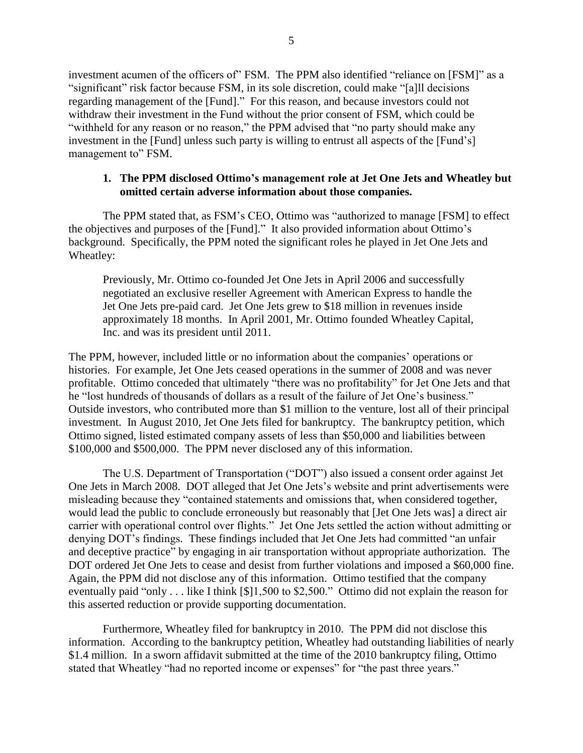investment acumen of the officers of" FSM. The PPM also identified "reliance on [FSM]" as a "significant" risk factor because FSM, in its sole discretion, could make "[a]ll decisions regarding management of the [Fund]." For this reason, and because investors could not withdraw their investment in the Fund without the prior consent of FSM, which could be "withheld for any reason or no reason," the PPM advised that "no party should make any investment in the [Fund] unless such party is willing to entrust all aspects of the [Fund's] management to" FSM.

#### **1. The PPM disclosed Ottimo's management role at Jet One Jets and Wheatley but omitted certain adverse information about those companies.**

The PPM stated that, as FSM's CEO, Ottimo was "authorized to manage [FSM] to effect the objectives and purposes of the [Fund]." It also provided information about Ottimo's background. Specifically, the PPM noted the significant roles he played in Jet One Jets and Wheatley:

Previously, Mr. Ottimo co-founded Jet One Jets in April 2006 and successfully negotiated an exclusive reseller Agreement with American Express to handle the Jet One Jets pre-paid card. Jet One Jets grew to \$18 million in revenues inside approximately 18 months. In April 2001, Mr. Ottimo founded Wheatley Capital, Inc. and was its president until 2011.

The PPM, however, included little or no information about the companies' operations or histories. For example, Jet One Jets ceased operations in the summer of 2008 and was never profitable. Ottimo conceded that ultimately "there was no profitability" for Jet One Jets and that he "lost hundreds of thousands of dollars as a result of the failure of Jet One's business." Outside investors, who contributed more than \$1 million to the venture, lost all of their principal investment. In August 2010, Jet One Jets filed for bankruptcy. The bankruptcy petition, which Ottimo signed, listed estimated company assets of less than \$50,000 and liabilities between \$100,000 and \$500,000. The PPM never disclosed any of this information.

The U.S. Department of Transportation ("DOT") also issued a consent order against Jet One Jets in March 2008. DOT alleged that Jet One Jets's website and print advertisements were misleading because they "contained statements and omissions that, when considered together, would lead the public to conclude erroneously but reasonably that [Jet One Jets was] a direct air carrier with operational control over flights." Jet One Jets settled the action without admitting or denying DOT's findings. These findings included that Jet One Jets had committed "an unfair and deceptive practice" by engaging in air transportation without appropriate authorization. The DOT ordered Jet One Jets to cease and desist from further violations and imposed a \$60,000 fine. Again, the PPM did not disclose any of this information. Ottimo testified that the company eventually paid "only . . . like I think [\$]1,500 to \$2,500." Ottimo did not explain the reason for this asserted reduction or provide supporting documentation.

Furthermore, Wheatley filed for bankruptcy in 2010. The PPM did not disclose this information. According to the bankruptcy petition, Wheatley had outstanding liabilities of nearly \$1.4 million. In a sworn affidavit submitted at the time of the 2010 bankruptcy filing, Ottimo stated that Wheatley "had no reported income or expenses" for "the past three years."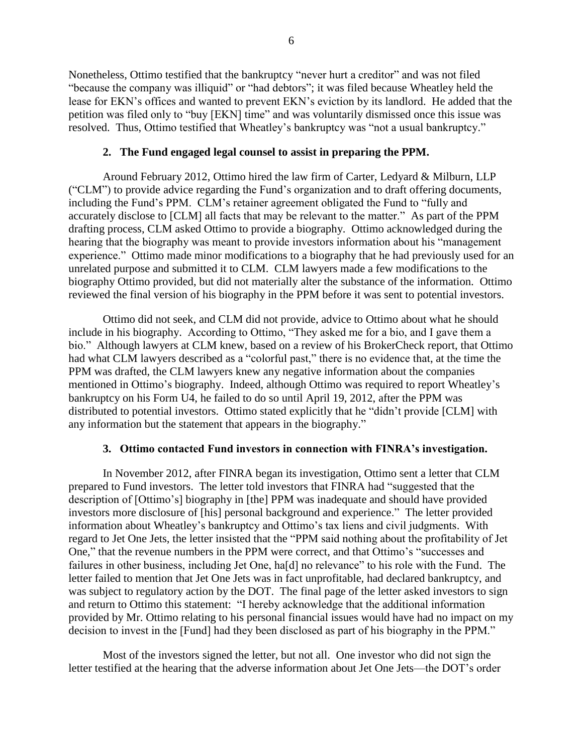Nonetheless, Ottimo testified that the bankruptcy "never hurt a creditor" and was not filed "because the company was illiquid" or "had debtors"; it was filed because Wheatley held the lease for EKN's offices and wanted to prevent EKN's eviction by its landlord. He added that the petition was filed only to "buy [EKN] time" and was voluntarily dismissed once this issue was resolved. Thus, Ottimo testified that Wheatley's bankruptcy was "not a usual bankruptcy."

#### **2. The Fund engaged legal counsel to assist in preparing the PPM.**

Around February 2012, Ottimo hired the law firm of Carter, Ledyard & Milburn, LLP ("CLM") to provide advice regarding the Fund's organization and to draft offering documents, including the Fund's PPM. CLM's retainer agreement obligated the Fund to "fully and accurately disclose to [CLM] all facts that may be relevant to the matter." As part of the PPM drafting process, CLM asked Ottimo to provide a biography. Ottimo acknowledged during the hearing that the biography was meant to provide investors information about his "management experience." Ottimo made minor modifications to a biography that he had previously used for an unrelated purpose and submitted it to CLM. CLM lawyers made a few modifications to the biography Ottimo provided, but did not materially alter the substance of the information. Ottimo reviewed the final version of his biography in the PPM before it was sent to potential investors.

Ottimo did not seek, and CLM did not provide, advice to Ottimo about what he should include in his biography. According to Ottimo, "They asked me for a bio, and I gave them a bio." Although lawyers at CLM knew, based on a review of his BrokerCheck report, that Ottimo had what CLM lawyers described as a "colorful past," there is no evidence that, at the time the PPM was drafted, the CLM lawyers knew any negative information about the companies mentioned in Ottimo's biography. Indeed, although Ottimo was required to report Wheatley's bankruptcy on his Form U4, he failed to do so until April 19, 2012, after the PPM was distributed to potential investors. Ottimo stated explicitly that he "didn't provide [CLM] with any information but the statement that appears in the biography."

## **3. Ottimo contacted Fund investors in connection with FINRA's investigation.**

In November 2012, after FINRA began its investigation, Ottimo sent a letter that CLM prepared to Fund investors. The letter told investors that FINRA had "suggested that the description of [Ottimo's] biography in [the] PPM was inadequate and should have provided investors more disclosure of [his] personal background and experience." The letter provided information about Wheatley's bankruptcy and Ottimo's tax liens and civil judgments. With regard to Jet One Jets, the letter insisted that the "PPM said nothing about the profitability of Jet One," that the revenue numbers in the PPM were correct, and that Ottimo's "successes and failures in other business, including Jet One, ha[d] no relevance" to his role with the Fund. The letter failed to mention that Jet One Jets was in fact unprofitable, had declared bankruptcy, and was subject to regulatory action by the DOT. The final page of the letter asked investors to sign and return to Ottimo this statement: "I hereby acknowledge that the additional information provided by Mr. Ottimo relating to his personal financial issues would have had no impact on my decision to invest in the [Fund] had they been disclosed as part of his biography in the PPM."

Most of the investors signed the letter, but not all. One investor who did not sign the letter testified at the hearing that the adverse information about Jet One Jets—the DOT's order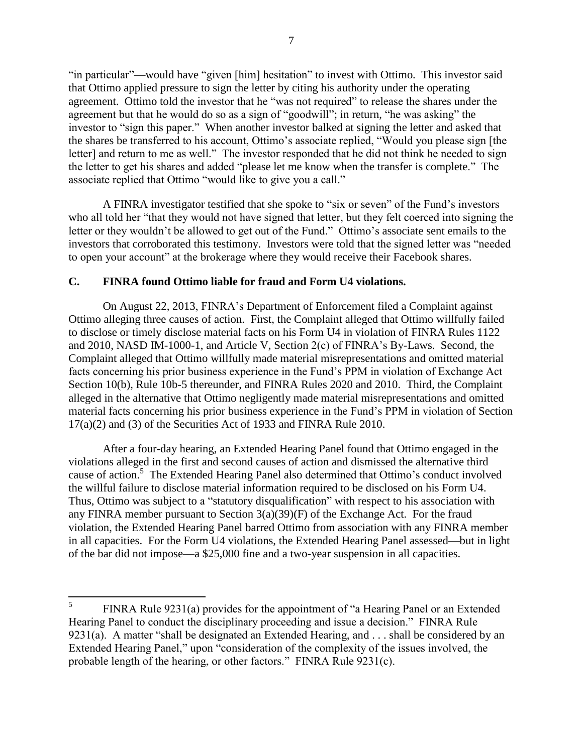"in particular"—would have "given [him] hesitation" to invest with Ottimo. This investor said that Ottimo applied pressure to sign the letter by citing his authority under the operating agreement. Ottimo told the investor that he "was not required" to release the shares under the agreement but that he would do so as a sign of "goodwill"; in return, "he was asking" the investor to "sign this paper." When another investor balked at signing the letter and asked that the shares be transferred to his account, Ottimo's associate replied, "Would you please sign [the letter] and return to me as well." The investor responded that he did not think he needed to sign the letter to get his shares and added "please let me know when the transfer is complete." The associate replied that Ottimo "would like to give you a call."

A FINRA investigator testified that she spoke to "six or seven" of the Fund's investors who all told her "that they would not have signed that letter, but they felt coerced into signing the letter or they wouldn't be allowed to get out of the Fund." Ottimo's associate sent emails to the investors that corroborated this testimony. Investors were told that the signed letter was "needed to open your account" at the brokerage where they would receive their Facebook shares.

### **C. FINRA found Ottimo liable for fraud and Form U4 violations.**

On August 22, 2013, FINRA's Department of Enforcement filed a Complaint against Ottimo alleging three causes of action. First, the Complaint alleged that Ottimo willfully failed to disclose or timely disclose material facts on his Form U4 in violation of FINRA Rules 1122 and 2010, NASD IM-1000-1, and Article V, Section 2(c) of FINRA's By-Laws. Second, the Complaint alleged that Ottimo willfully made material misrepresentations and omitted material facts concerning his prior business experience in the Fund's PPM in violation of Exchange Act Section 10(b), Rule 10b-5 thereunder, and FINRA Rules 2020 and 2010. Third, the Complaint alleged in the alternative that Ottimo negligently made material misrepresentations and omitted material facts concerning his prior business experience in the Fund's PPM in violation of Section 17(a)(2) and (3) of the Securities Act of 1933 and FINRA Rule 2010.

After a four-day hearing, an Extended Hearing Panel found that Ottimo engaged in the violations alleged in the first and second causes of action and dismissed the alternative third cause of action.<sup>5</sup> The Extended Hearing Panel also determined that Ottimo's conduct involved the willful failure to disclose material information required to be disclosed on his Form U4. Thus, Ottimo was subject to a "statutory disqualification" with respect to his association with any FINRA member pursuant to Section  $3(a)(39)(F)$  of the Exchange Act. For the fraud violation, the Extended Hearing Panel barred Ottimo from association with any FINRA member in all capacities. For the Form U4 violations, the Extended Hearing Panel assessed—but in light of the bar did not impose—a \$25,000 fine and a two-year suspension in all capacities.

 5 FINRA Rule 9231(a) provides for the appointment of "a Hearing Panel or an Extended Hearing Panel to conduct the disciplinary proceeding and issue a decision." FINRA Rule 9231(a). A matter "shall be designated an Extended Hearing, and . . . shall be considered by an Extended Hearing Panel," upon "consideration of the complexity of the issues involved, the probable length of the hearing, or other factors." FINRA Rule 9231(c).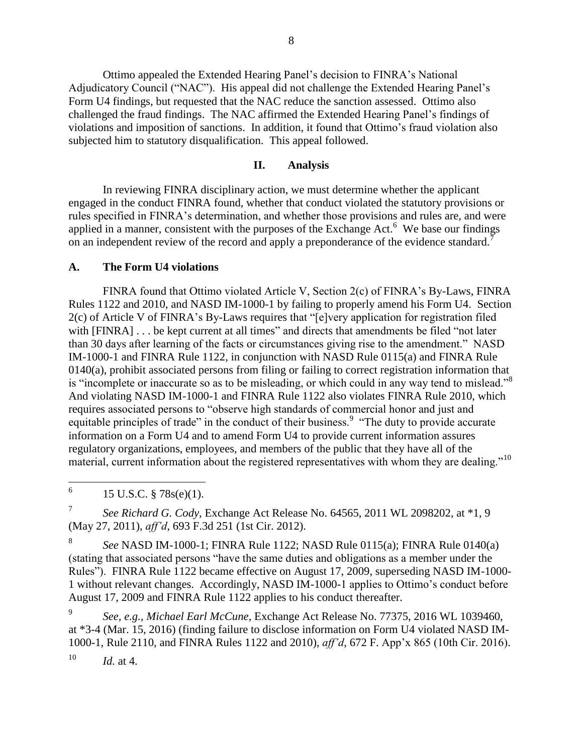Ottimo appealed the Extended Hearing Panel's decision to FINRA's National Adjudicatory Council ("NAC"). His appeal did not challenge the Extended Hearing Panel's Form U4 findings, but requested that the NAC reduce the sanction assessed. Ottimo also challenged the fraud findings. The NAC affirmed the Extended Hearing Panel's findings of violations and imposition of sanctions. In addition, it found that Ottimo's fraud violation also subjected him to statutory disqualification. This appeal followed.

## **II. Analysis**

In reviewing FINRA disciplinary action, we must determine whether the applicant engaged in the conduct FINRA found, whether that conduct violated the statutory provisions or rules specified in FINRA's determination, and whether those provisions and rules are, and were applied in a manner, consistent with the purposes of the Exchange Act. $6$  We base our findings on an independent review of the record and apply a preponderance of the evidence standard.<sup>7</sup>

#### **A. The Form U4 violations**

FINRA found that Ottimo violated Article V, Section 2(c) of FINRA's By-Laws, FINRA Rules 1122 and 2010, and NASD IM-1000-1 by failing to properly amend his Form U4. Section 2(c) of Article V of FINRA's By-Laws requires that "[e]very application for registration filed with [FINRA] . . . be kept current at all times" and directs that amendments be filed "not later than 30 days after learning of the facts or circumstances giving rise to the amendment." NASD IM-1000-1 and FINRA Rule 1122, in conjunction with NASD Rule 0115(a) and FINRA Rule 0140(a), prohibit associated persons from filing or failing to correct registration information that is "incomplete or inaccurate so as to be misleading, or which could in any way tend to mislead."<sup>8</sup> And violating NASD IM-1000-1 and FINRA Rule 1122 also violates FINRA Rule 2010, which requires associated persons to "observe high standards of commercial honor and just and equitable principles of trade" in the conduct of their business.<sup>9</sup> "The duty to provide accurate information on a Form U4 and to amend Form U4 to provide current information assures regulatory organizations, employees, and members of the public that they have all of the material, current information about the registered representatives with whom they are dealing."<sup>10</sup>

 6 15 U.S.C. § 78s(e)(1).

7 *See Richard G. Cody*, Exchange Act Release No. 64565, 2011 WL 2098202, at \*1, 9 (May 27, 2011), *aff'd*, 693 F.3d 251 (1st Cir. 2012).

8 *See* NASD IM-1000-1; FINRA Rule 1122; NASD Rule 0115(a); FINRA Rule 0140(a) (stating that associated persons "have the same duties and obligations as a member under the Rules"). FINRA Rule 1122 became effective on August 17, 2009, superseding NASD IM-1000- 1 without relevant changes. Accordingly, NASD IM-1000-1 applies to Ottimo's conduct before August 17, 2009 and FINRA Rule 1122 applies to his conduct thereafter.

9 *See, e.g., Michael Earl McCune*, Exchange Act Release No. 77375, 2016 WL 1039460, at \*3-4 (Mar. 15, 2016) (finding failure to disclose information on Form U4 violated NASD IM-1000-1, Rule 2110, and FINRA Rules 1122 and 2010), *aff'd*, 672 F. App'x 865 (10th Cir. 2016).  $10$  *Id.* at 4.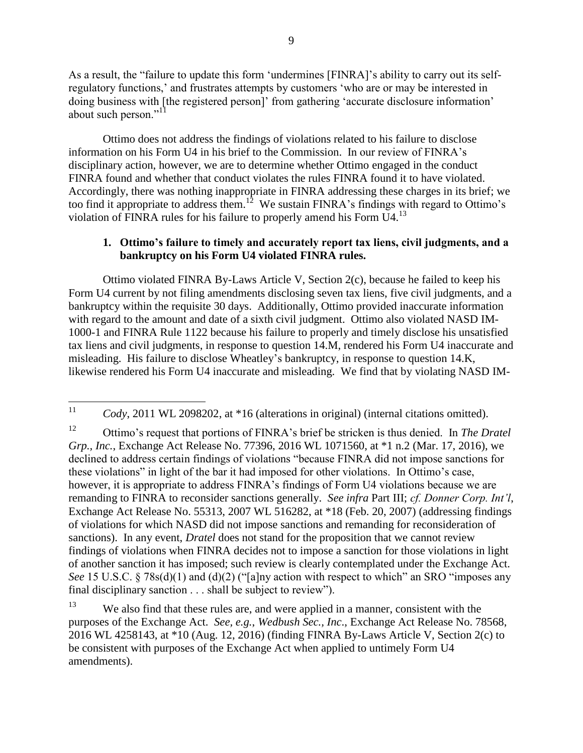As a result, the "failure to update this form 'undermines [FINRA]'s ability to carry out its selfregulatory functions,' and frustrates attempts by customers 'who are or may be interested in doing business with [the registered person]' from gathering 'accurate disclosure information' about such person."<sup>11</sup>

Ottimo does not address the findings of violations related to his failure to disclose information on his Form U4 in his brief to the Commission. In our review of FINRA's disciplinary action, however, we are to determine whether Ottimo engaged in the conduct FINRA found and whether that conduct violates the rules FINRA found it to have violated. Accordingly, there was nothing inappropriate in FINRA addressing these charges in its brief; we too find it appropriate to address them.<sup>12</sup> We sustain FINRA's findings with regard to Ottimo's violation of FINRA rules for his failure to properly amend his Form  $U4$ <sup>13</sup>

### **1. Ottimo's failure to timely and accurately report tax liens, civil judgments, and a bankruptcy on his Form U4 violated FINRA rules.**

Ottimo violated FINRA By-Laws Article V, Section 2(c), because he failed to keep his Form U4 current by not filing amendments disclosing seven tax liens, five civil judgments, and a bankruptcy within the requisite 30 days. Additionally, Ottimo provided inaccurate information with regard to the amount and date of a sixth civil judgment. Ottimo also violated NASD IM-1000-1 and FINRA Rule 1122 because his failure to properly and timely disclose his unsatisfied tax liens and civil judgments, in response to question 14.M, rendered his Form U4 inaccurate and misleading. His failure to disclose Wheatley's bankruptcy, in response to question 14.K, likewise rendered his Form U4 inaccurate and misleading. We find that by violating NASD IM-

<sup>13</sup> We also find that these rules are, and were applied in a manner, consistent with the purposes of the Exchange Act. *See, e.g.*, *Wedbush Sec., Inc*., Exchange Act Release No. 78568, 2016 WL 4258143, at \*10 (Aug. 12, 2016) (finding FINRA By-Laws Article V, Section 2(c) to be consistent with purposes of the Exchange Act when applied to untimely Form U4 amendments).

 $11$ Cody, 2011 WL 2098202, at \*16 (alterations in original) (internal citations omitted).

<sup>12</sup> Ottimo's request that portions of FINRA's brief be stricken is thus denied. In *The Dratel Grp., Inc.*, Exchange Act Release No. 77396, 2016 WL 1071560, at \*1 n.2 (Mar. 17, 2016), we declined to address certain findings of violations "because FINRA did not impose sanctions for these violations" in light of the bar it had imposed for other violations. In Ottimo's case, however, it is appropriate to address FINRA's findings of Form U4 violations because we are remanding to FINRA to reconsider sanctions generally. *See infra* Part III; *cf. Donner Corp. Int'l*, Exchange Act Release No. 55313, 2007 WL 516282, at \*18 (Feb. 20, 2007) (addressing findings of violations for which NASD did not impose sanctions and remanding for reconsideration of sanctions). In any event, *Dratel* does not stand for the proposition that we cannot review findings of violations when FINRA decides not to impose a sanction for those violations in light of another sanction it has imposed; such review is clearly contemplated under the Exchange Act. *See* 15 U.S.C. § 78s(d)(1) and (d)(2) ("[a]ny action with respect to which" an SRO "imposes any final disciplinary sanction . . . shall be subject to review").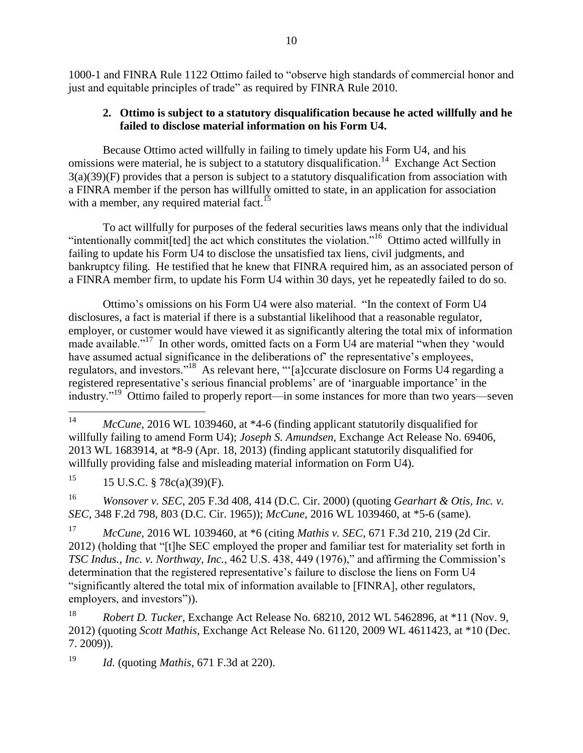1000-1 and FINRA Rule 1122 Ottimo failed to "observe high standards of commercial honor and just and equitable principles of trade" as required by FINRA Rule 2010.

## **2. Ottimo is subject to a statutory disqualification because he acted willfully and he failed to disclose material information on his Form U4.**

Because Ottimo acted willfully in failing to timely update his Form U4, and his omissions were material, he is subject to a statutory disqualification.<sup>14</sup> Exchange Act Section 3(a)(39)(F) provides that a person is subject to a statutory disqualification from association with a FINRA member if the person has willfully omitted to state, in an application for association with a member, any required material fact.<sup>15</sup>

To act willfully for purposes of the federal securities laws means only that the individual "intentionally commit[ted] the act which constitutes the violation."<sup>16</sup> Ottimo acted willfully in failing to update his Form U4 to disclose the unsatisfied tax liens, civil judgments, and bankruptcy filing. He testified that he knew that FINRA required him, as an associated person of a FINRA member firm, to update his Form U4 within 30 days, yet he repeatedly failed to do so.

Ottimo's omissions on his Form U4 were also material. "In the context of Form U4 disclosures, a fact is material if there is a substantial likelihood that a reasonable regulator, employer, or customer would have viewed it as significantly altering the total mix of information made available."<sup>17</sup> In other words, omitted facts on a Form U4 are material "when they 'would have assumed actual significance in the deliberations of' the representative's employees, regulators, and investors."<sup>18</sup> As relevant here, "'[a]ccurate disclosure on Forms U4 regarding a registered representative's serious financial problems' are of 'inarguable importance' in the industry."<sup>19</sup> Ottimo failed to properly report—in some instances for more than two years—seven

<sup>15</sup> 15 U.S.C. § 78c(a)(39)(F)*.*

<sup>16</sup> *Wonsover v. SEC*, 205 F.3d 408, 414 (D.C. Cir. 2000) (quoting *Gearhart & Otis, Inc. v. SEC,* 348 F.2d 798, 803 (D.C. Cir. 1965)); *McCune*, 2016 WL 1039460, at \*5-6 (same).

<sup>17</sup> *McCune*, 2016 WL 1039460, at \*6 (citing *Mathis v. SEC*, 671 F.3d 210, 219 (2d Cir. 2012) (holding that "[t]he SEC employed the proper and familiar test for materiality set forth in *TSC Indus., Inc. v. Northway, Inc.*, 462 U.S. 438, 449 (1976)," and affirming the Commission's determination that the registered representative's failure to disclose the liens on Form U4 "significantly altered the total mix of information available to [FINRA], other regulators, employers, and investors")).

<sup>18</sup> *Robert D. Tucker*, Exchange Act Release No. 68210, 2012 WL 5462896, at \*11 (Nov. 9, 2012) (quoting *Scott Mathis*, Exchange Act Release No. 61120, 2009 WL 4611423, at \*10 (Dec. 7. 2009)).

<sup>19</sup> *Id.* (quoting *Mathis*, 671 F.3d at 220).

 $14$ McCune, 2016 WL 1039460, at \*4-6 (finding applicant statutorily disqualified for willfully failing to amend Form U4); *Joseph S. Amundsen,* Exchange Act Release No. 69406, 2013 WL 1683914, at \*8-9 (Apr. 18, 2013) (finding applicant statutorily disqualified for willfully providing false and misleading material information on Form U4).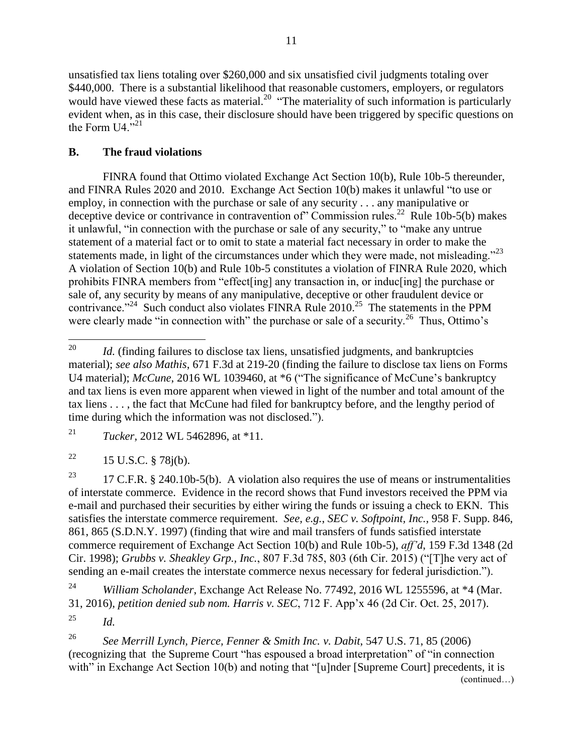unsatisfied tax liens totaling over \$260,000 and six unsatisfied civil judgments totaling over \$440,000. There is a substantial likelihood that reasonable customers, employers, or regulators would have viewed these facts as material.<sup>20</sup> "The materiality of such information is particularly evident when, as in this case, their disclosure should have been triggered by specific questions on the Form  $U4$ <sup> $,21$ </sup>

## **B. The fraud violations**

FINRA found that Ottimo violated Exchange Act Section 10(b), Rule 10b-5 thereunder, and FINRA Rules 2020 and 2010. Exchange Act Section 10(b) makes it unlawful "to use or employ, in connection with the purchase or sale of any security . . . any manipulative or deceptive device or contrivance in contravention of" Commission rules.<sup>22</sup> Rule 10b-5(b) makes it unlawful, "in connection with the purchase or sale of any security," to "make any untrue statement of a material fact or to omit to state a material fact necessary in order to make the statements made, in light of the circumstances under which they were made, not misleading. $^{223}$ A violation of Section 10(b) and Rule 10b-5 constitutes a violation of FINRA Rule 2020, which prohibits FINRA members from "effect[ing] any transaction in, or induc[ing] the purchase or sale of, any security by means of any manipulative, deceptive or other fraudulent device or contrivance."<sup>24</sup> Such conduct also violates FINRA Rule  $2010$ .<sup>25</sup> The statements in the PPM were clearly made "in connection with" the purchase or sale of a security.<sup>26</sup> Thus, Ottimo's

<sup>21</sup> *Tucker*, 2012 WL 5462896, at \*11.

<sup>22</sup> 15 U.S.C. § 78 $j(b)$ .

<sup>23</sup> 17 C.F.R. § 240.10b-5(b). A violation also requires the use of means or instrumentalities of interstate commerce. Evidence in the record shows that Fund investors received the PPM via e-mail and purchased their securities by either wiring the funds or issuing a check to EKN. This satisfies the interstate commerce requirement. *See, e.g.*, *SEC v. Softpoint, Inc.,* 958 F. Supp. 846, 861, 865 (S.D.N.Y. 1997) (finding that wire and mail transfers of funds satisfied interstate commerce requirement of Exchange Act Section 10(b) and Rule 10b-5), *aff'd*, 159 F.3d 1348 (2d Cir. 1998); *Grubbs v. Sheakley Grp., Inc.*, 807 F.3d 785, 803 (6th Cir. 2015) ("[T]he very act of sending an e-mail creates the interstate commerce nexus necessary for federal jurisdiction.").

<sup>24</sup> *William Scholander*, Exchange Act Release No. 77492, 2016 WL 1255596, at \*4 (Mar. 31, 2016), *petition denied sub nom. Harris v. SEC*, 712 F. App'x 46 (2d Cir. Oct. 25, 2017).

<sup>26</sup> *See Merrill Lynch, Pierce, Fenner & Smith Inc. v. Dabit*, 547 U.S. 71, 85 (2006) (recognizing that the Supreme Court "has espoused a broad interpretation" of "in connection with" in Exchange Act Section 10(b) and noting that "[u]nder [Supreme Court] precedents, it is (continued…)

<sup>20</sup> Id. (finding failures to disclose tax liens, unsatisfied judgments, and bankruptcies material); *see also Mathis*, 671 F.3d at 219-20 (finding the failure to disclose tax liens on Forms U4 material); *McCune*, 2016 WL 1039460, at \*6 ("The significance of McCune's bankruptcy and tax liens is even more apparent when viewed in light of the number and total amount of the tax liens . . . , the fact that McCune had filed for bankruptcy before, and the lengthy period of time during which the information was not disclosed.").

<sup>25</sup> *Id.*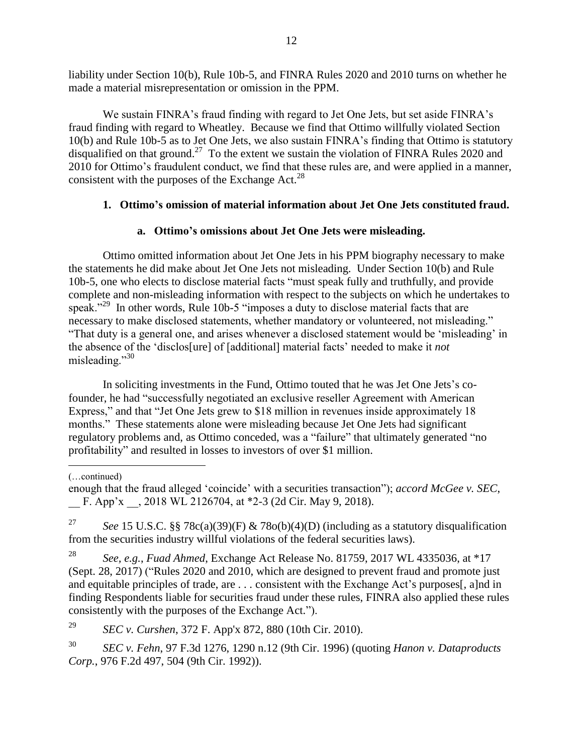liability under Section 10(b), Rule 10b-5, and FINRA Rules 2020 and 2010 turns on whether he made a material misrepresentation or omission in the PPM.

We sustain FINRA's fraud finding with regard to Jet One Jets, but set aside FINRA's fraud finding with regard to Wheatley. Because we find that Ottimo willfully violated Section 10(b) and Rule 10b-5 as to Jet One Jets, we also sustain FINRA's finding that Ottimo is statutory disqualified on that ground.<sup>27</sup> To the extent we sustain the violation of FINRA Rules 2020 and 2010 for Ottimo's fraudulent conduct, we find that these rules are, and were applied in a manner, consistent with the purposes of the Exchange  $Act.^{28}$ 

# **1. Ottimo's omission of material information about Jet One Jets constituted fraud.**

# **a. Ottimo's omissions about Jet One Jets were misleading.**

Ottimo omitted information about Jet One Jets in his PPM biography necessary to make the statements he did make about Jet One Jets not misleading. Under Section 10(b) and Rule 10b-5, one who elects to disclose material facts "must speak fully and truthfully, and provide complete and non-misleading information with respect to the subjects on which he undertakes to speak."<sup>29</sup> In other words, Rule 10b-5 "imposes a duty to disclose material facts that are necessary to make disclosed statements, whether mandatory or volunteered, not misleading." "That duty is a general one, and arises whenever a disclosed statement would be 'misleading' in the absence of the 'disclos[ure] of [additional] material facts' needed to make it *not* misleading."<sup>30</sup>

In soliciting investments in the Fund, Ottimo touted that he was Jet One Jets's cofounder, he had "successfully negotiated an exclusive reseller Agreement with American Express," and that "Jet One Jets grew to \$18 million in revenues inside approximately 18 months." These statements alone were misleading because Jet One Jets had significant regulatory problems and, as Ottimo conceded, was a "failure" that ultimately generated "no profitability" and resulted in losses to investors of over \$1 million.

 $\overline{a}$ 

enough that the fraud alleged 'coincide' with a securities transaction"); *accord McGee v. SEC*, F. App'x , 2018 WL 2126704, at \*2-3 (2d Cir. May 9, 2018).

<sup>27</sup> *See* 15 U.S.C. §§ 78c(a)(39)(F) & 78o(b)(4)(D) (including as a statutory disqualification from the securities industry willful violations of the federal securities laws).

<sup>28</sup> *See, e.g.*, *Fuad Ahmed*, Exchange Act Release No. 81759, 2017 WL 4335036, at \*17 (Sept. 28, 2017) ("Rules 2020 and 2010, which are designed to prevent fraud and promote just and equitable principles of trade, are . . . consistent with the Exchange Act's purposes[, a]nd in finding Respondents liable for securities fraud under these rules, FINRA also applied these rules consistently with the purposes of the Exchange Act.").

<sup>29</sup> *SEC v. Curshen*, 372 F. App'x 872, 880 (10th Cir. 2010).

<sup>30</sup> *SEC v. Fehn*, 97 F.3d 1276, 1290 n.12 (9th Cir. 1996) (quoting *Hanon v. Dataproducts Corp.*, 976 F.2d 497, 504 (9th Cir. 1992)).

<sup>(…</sup>continued)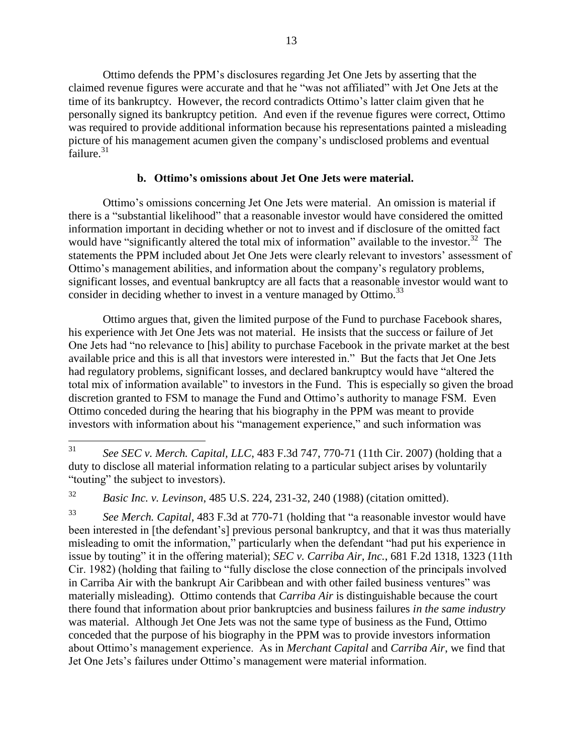Ottimo defends the PPM's disclosures regarding Jet One Jets by asserting that the claimed revenue figures were accurate and that he "was not affiliated" with Jet One Jets at the time of its bankruptcy. However, the record contradicts Ottimo's latter claim given that he personally signed its bankruptcy petition. And even if the revenue figures were correct, Ottimo was required to provide additional information because his representations painted a misleading picture of his management acumen given the company's undisclosed problems and eventual  $\frac{1}{2}$ failure.<sup>31</sup>

#### **b. Ottimo's omissions about Jet One Jets were material.**

Ottimo's omissions concerning Jet One Jets were material. An omission is material if there is a "substantial likelihood" that a reasonable investor would have considered the omitted information important in deciding whether or not to invest and if disclosure of the omitted fact would have "significantly altered the total mix of information" available to the investor.<sup>32</sup> The statements the PPM included about Jet One Jets were clearly relevant to investors' assessment of Ottimo's management abilities, and information about the company's regulatory problems, significant losses, and eventual bankruptcy are all facts that a reasonable investor would want to consider in deciding whether to invest in a venture managed by Ottimo.<sup>33</sup>

Ottimo argues that, given the limited purpose of the Fund to purchase Facebook shares, his experience with Jet One Jets was not material. He insists that the success or failure of Jet One Jets had "no relevance to [his] ability to purchase Facebook in the private market at the best available price and this is all that investors were interested in." But the facts that Jet One Jets had regulatory problems, significant losses, and declared bankruptcy would have "altered the total mix of information available" to investors in the Fund. This is especially so given the broad discretion granted to FSM to manage the Fund and Ottimo's authority to manage FSM. Even Ottimo conceded during the hearing that his biography in the PPM was meant to provide investors with information about his "management experience," and such information was

<sup>32</sup> *Basic Inc. v. Levinson*, 485 U.S. 224, 231-32, 240 (1988) (citation omitted).

<sup>33</sup> *See Merch. Capital*, 483 F.3d at 770-71 (holding that "a reasonable investor would have been interested in [the defendant's] previous personal bankruptcy, and that it was thus materially misleading to omit the information," particularly when the defendant "had put his experience in issue by touting" it in the offering material); *SEC v. Carriba Air, Inc.*, 681 F.2d 1318, 1323 (11th Cir. 1982) (holding that failing to "fully disclose the close connection of the principals involved in Carriba Air with the bankrupt Air Caribbean and with other failed business ventures" was materially misleading). Ottimo contends that *Carriba Air* is distinguishable because the court there found that information about prior bankruptcies and business failures *in the same industry* was material. Although Jet One Jets was not the same type of business as the Fund, Ottimo conceded that the purpose of his biography in the PPM was to provide investors information about Ottimo's management experience. As in *Merchant Capital* and *Carriba Air*, we find that Jet One Jets's failures under Ottimo's management were material information.

 $31$ <sup>31</sup> *See SEC v. Merch. Capital, LLC*, 483 F.3d 747, 770-71 (11th Cir. 2007) (holding that a duty to disclose all material information relating to a particular subject arises by voluntarily "touting" the subject to investors).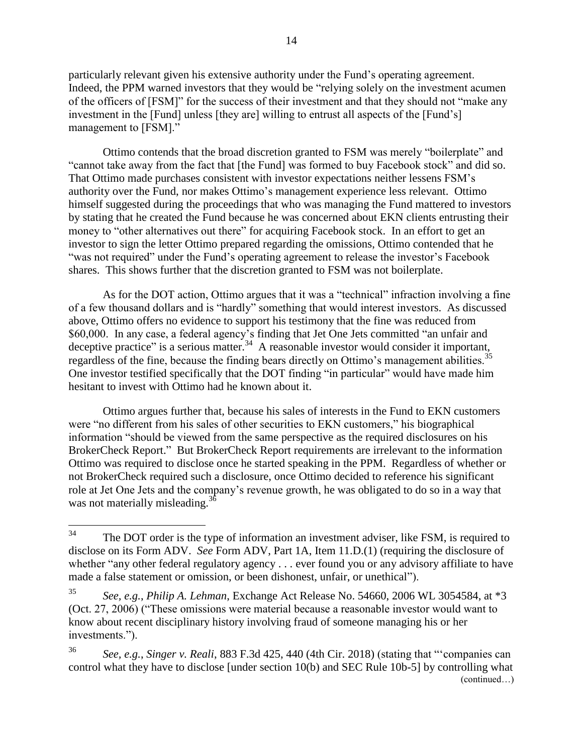particularly relevant given his extensive authority under the Fund's operating agreement. Indeed, the PPM warned investors that they would be "relying solely on the investment acumen of the officers of [FSM]" for the success of their investment and that they should not "make any investment in the [Fund] unless [they are] willing to entrust all aspects of the [Fund's] management to [FSM]."

Ottimo contends that the broad discretion granted to FSM was merely "boilerplate" and "cannot take away from the fact that [the Fund] was formed to buy Facebook stock" and did so. That Ottimo made purchases consistent with investor expectations neither lessens FSM's authority over the Fund, nor makes Ottimo's management experience less relevant. Ottimo himself suggested during the proceedings that who was managing the Fund mattered to investors by stating that he created the Fund because he was concerned about EKN clients entrusting their money to "other alternatives out there" for acquiring Facebook stock. In an effort to get an investor to sign the letter Ottimo prepared regarding the omissions, Ottimo contended that he "was not required" under the Fund's operating agreement to release the investor's Facebook shares. This shows further that the discretion granted to FSM was not boilerplate.

As for the DOT action, Ottimo argues that it was a "technical" infraction involving a fine of a few thousand dollars and is "hardly" something that would interest investors. As discussed above, Ottimo offers no evidence to support his testimony that the fine was reduced from \$60,000. In any case, a federal agency's finding that Jet One Jets committed "an unfair and deceptive practice" is a serious matter.<sup>34</sup> A reasonable investor would consider it important, regardless of the fine, because the finding bears directly on Ottimo's management abilities.<sup>35</sup> One investor testified specifically that the DOT finding "in particular" would have made him hesitant to invest with Ottimo had he known about it.

Ottimo argues further that, because his sales of interests in the Fund to EKN customers were "no different from his sales of other securities to EKN customers," his biographical information "should be viewed from the same perspective as the required disclosures on his BrokerCheck Report." But BrokerCheck Report requirements are irrelevant to the information Ottimo was required to disclose once he started speaking in the PPM. Regardless of whether or not BrokerCheck required such a disclosure, once Ottimo decided to reference his significant role at Jet One Jets and the company's revenue growth, he was obligated to do so in a way that was not materially misleading.<sup>36</sup>

<sup>34</sup> The DOT order is the type of information an investment adviser, like FSM, is required to disclose on its Form ADV. *See* Form ADV, Part 1A, Item 11.D.(1) (requiring the disclosure of whether "any other federal regulatory agency . . . ever found you or any advisory affiliate to have made a false statement or omission, or been dishonest, unfair, or unethical").

<sup>35</sup> *See, e.g.*, *Philip A. Lehman*, Exchange Act Release No. 54660, 2006 WL 3054584, at \*3 (Oct. 27, 2006) ("These omissions were material because a reasonable investor would want to know about recent disciplinary history involving fraud of someone managing his or her investments.").

<sup>36</sup> *See, e.g.*, *Singer v. Reali*, 883 F.3d 425, 440 (4th Cir. 2018) (stating that "'companies can control what they have to disclose [under section 10(b) and SEC Rule 10b-5] by controlling what (continued…)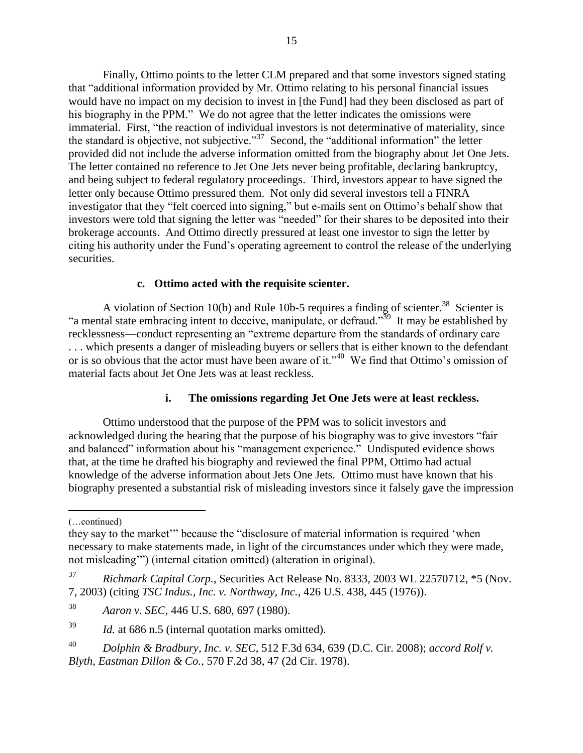Finally, Ottimo points to the letter CLM prepared and that some investors signed stating that "additional information provided by Mr. Ottimo relating to his personal financial issues would have no impact on my decision to invest in [the Fund] had they been disclosed as part of his biography in the PPM." We do not agree that the letter indicates the omissions were immaterial. First, "the reaction of individual investors is not determinative of materiality, since the standard is objective, not subjective."<sup>37</sup> Second, the "additional information" the letter provided did not include the adverse information omitted from the biography about Jet One Jets. The letter contained no reference to Jet One Jets never being profitable, declaring bankruptcy, and being subject to federal regulatory proceedings. Third, investors appear to have signed the letter only because Ottimo pressured them. Not only did several investors tell a FINRA investigator that they "felt coerced into signing," but e-mails sent on Ottimo's behalf show that investors were told that signing the letter was "needed" for their shares to be deposited into their brokerage accounts. And Ottimo directly pressured at least one investor to sign the letter by citing his authority under the Fund's operating agreement to control the release of the underlying securities.

#### **c. Ottimo acted with the requisite scienter.**

A violation of Section 10(b) and Rule 10b-5 requires a finding of scienter.<sup>38</sup> Scienter is "a mental state embracing intent to deceive, manipulate, or defraud."<sup>39</sup> It may be established by recklessness—conduct representing an "extreme departure from the standards of ordinary care . . . which presents a danger of misleading buyers or sellers that is either known to the defendant or is so obvious that the actor must have been aware of it."<sup>40</sup> We find that Ottimo's omission of material facts about Jet One Jets was at least reckless.

#### **i. The omissions regarding Jet One Jets were at least reckless.**

Ottimo understood that the purpose of the PPM was to solicit investors and acknowledged during the hearing that the purpose of his biography was to give investors "fair and balanced" information about his "management experience." Undisputed evidence shows that, at the time he drafted his biography and reviewed the final PPM, Ottimo had actual knowledge of the adverse information about Jets One Jets. Ottimo must have known that his biography presented a substantial risk of misleading investors since it falsely gave the impression

 $\overline{a}$ 

<sup>(…</sup>continued)

they say to the market'" because the "disclosure of material information is required 'when necessary to make statements made, in light of the circumstances under which they were made, not misleading'") (internal citation omitted) (alteration in original).

<sup>37</sup> *Richmark Capital Corp.*, Securities Act Release No. 8333, 2003 WL 22570712, \*5 (Nov. 7, 2003) (citing *TSC Indus., Inc. v. Northway, Inc.*, 426 U.S. 438, 445 (1976)).

<sup>38</sup> *Aaron v. SEC*, 446 U.S. 680, 697 (1980).

<sup>39</sup> *Id.* at 686 n.5 (internal quotation marks omitted).

<sup>40</sup> *Dolphin & Bradbury, Inc. v. SEC*, 512 F.3d 634, 639 (D.C. Cir. 2008); *accord Rolf v. Blyth, Eastman Dillon & Co.*, 570 F.2d 38, 47 (2d Cir. 1978).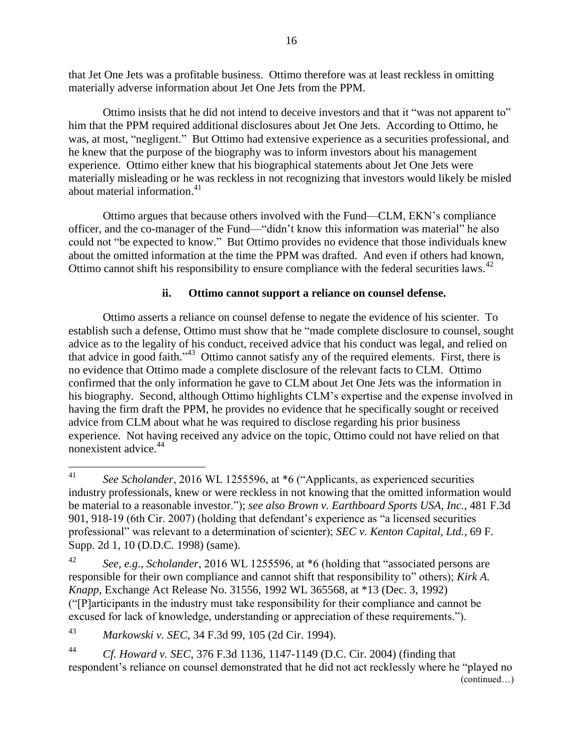that Jet One Jets was a profitable business. Ottimo therefore was at least reckless in omitting materially adverse information about Jet One Jets from the PPM.

Ottimo insists that he did not intend to deceive investors and that it "was not apparent to" him that the PPM required additional disclosures about Jet One Jets. According to Ottimo, he was, at most, "negligent." But Ottimo had extensive experience as a securities professional, and he knew that the purpose of the biography was to inform investors about his management experience. Ottimo either knew that his biographical statements about Jet One Jets were materially misleading or he was reckless in not recognizing that investors would likely be misled about material information. 41

Ottimo argues that because others involved with the Fund—CLM, EKN's compliance officer, and the co-manager of the Fund—"didn't know this information was material" he also could not "be expected to know." But Ottimo provides no evidence that those individuals knew about the omitted information at the time the PPM was drafted. And even if others had known, Ottimo cannot shift his responsibility to ensure compliance with the federal securities laws.<sup>42</sup>

### **ii. Ottimo cannot support a reliance on counsel defense.**

Ottimo asserts a reliance on counsel defense to negate the evidence of his scienter. To establish such a defense, Ottimo must show that he "made complete disclosure to counsel, sought advice as to the legality of his conduct, received advice that his conduct was legal, and relied on that advice in good faith." 43 Ottimo cannot satisfy any of the required elements. First, there is no evidence that Ottimo made a complete disclosure of the relevant facts to CLM. Ottimo confirmed that the only information he gave to CLM about Jet One Jets was the information in his biography. Second, although Ottimo highlights CLM's expertise and the expense involved in having the firm draft the PPM, he provides no evidence that he specifically sought or received advice from CLM about what he was required to disclose regarding his prior business experience. Not having received any advice on the topic, Ottimo could not have relied on that nonexistent advice.<sup>44</sup>

<sup>43</sup> *Markowski v. SEC*, 34 F.3d 99, 105 (2d Cir. 1994).

<sup>44</sup> *Cf. Howard v. SEC*, 376 F.3d 1136, 1147-1149 (D.C. Cir. 2004) (finding that respondent's reliance on counsel demonstrated that he did not act recklessly where he "played no (continued…)

<sup>41</sup> <sup>41</sup> *See Scholander*, 2016 WL 1255596, at \*6 ("Applicants, as experienced securities industry professionals, knew or were reckless in not knowing that the omitted information would be material to a reasonable investor."); *see also Brown v. Earthboard Sports USA, Inc.*, 481 F.3d 901, 918-19 (6th Cir. 2007) (holding that defendant's experience as "a licensed securities professional" was relevant to a determination of scienter); *SEC v. Kenton Capital, Ltd.*, 69 F. Supp. 2d 1, 10 (D.D.C. 1998) (same).

<sup>42</sup> *See, e.g.*, *Scholander*, 2016 WL 1255596, at \*6 (holding that "associated persons are responsible for their own compliance and cannot shift that responsibility to" others); *Kirk A. Knapp*, Exchange Act Release No. 31556, 1992 WL 365568, at \*13 (Dec. 3, 1992) ("[P]articipants in the industry must take responsibility for their compliance and cannot be excused for lack of knowledge, understanding or appreciation of these requirements.").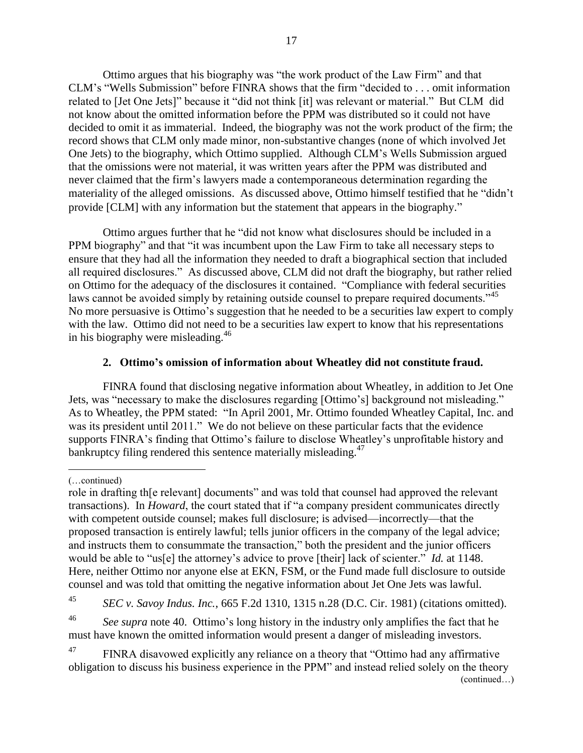Ottimo argues that his biography was "the work product of the Law Firm" and that CLM's "Wells Submission" before FINRA shows that the firm "decided to . . . omit information related to [Jet One Jets]" because it "did not think [it] was relevant or material." But CLM did not know about the omitted information before the PPM was distributed so it could not have decided to omit it as immaterial. Indeed, the biography was not the work product of the firm; the record shows that CLM only made minor, non-substantive changes (none of which involved Jet One Jets) to the biography, which Ottimo supplied. Although CLM's Wells Submission argued that the omissions were not material, it was written years after the PPM was distributed and never claimed that the firm's lawyers made a contemporaneous determination regarding the materiality of the alleged omissions. As discussed above, Ottimo himself testified that he "didn't provide [CLM] with any information but the statement that appears in the biography."

Ottimo argues further that he "did not know what disclosures should be included in a PPM biography" and that "it was incumbent upon the Law Firm to take all necessary steps to ensure that they had all the information they needed to draft a biographical section that included all required disclosures." As discussed above, CLM did not draft the biography, but rather relied on Ottimo for the adequacy of the disclosures it contained. "Compliance with federal securities laws cannot be avoided simply by retaining outside counsel to prepare required documents."<sup>45</sup> No more persuasive is Ottimo's suggestion that he needed to be a securities law expert to comply with the law. Ottimo did not need to be a securities law expert to know that his representations in his biography were misleading.<sup>46</sup>

## **2. Ottimo's omission of information about Wheatley did not constitute fraud.**

FINRA found that disclosing negative information about Wheatley, in addition to Jet One Jets, was "necessary to make the disclosures regarding [Ottimo's] background not misleading." As to Wheatley, the PPM stated: "In April 2001, Mr. Ottimo founded Wheatley Capital, Inc. and was its president until 2011." We do not believe on these particular facts that the evidence supports FINRA's finding that Ottimo's failure to disclose Wheatley's unprofitable history and bankruptcy filing rendered this sentence materially misleading.<sup>47</sup>

 $\overline{a}$ (…continued)

<sup>45</sup> *SEC v. Savoy Indus. Inc.*, 665 F.2d 1310, 1315 n.28 (D.C. Cir. 1981) (citations omitted).

<sup>46</sup> *See supra* note 40. Ottimo's long history in the industry only amplifies the fact that he must have known the omitted information would present a danger of misleading investors.

<sup>47</sup> FINRA disavowed explicitly any reliance on a theory that "Ottimo had any affirmative obligation to discuss his business experience in the PPM" and instead relied solely on the theory (continued…)

role in drafting th[e relevant] documents" and was told that counsel had approved the relevant transactions). In *Howard*, the court stated that if "a company president communicates directly with competent outside counsel; makes full disclosure; is advised—incorrectly—that the proposed transaction is entirely lawful; tells junior officers in the company of the legal advice; and instructs them to consummate the transaction," both the president and the junior officers would be able to "us[e] the attorney's advice to prove [their] lack of scienter." *Id.* at 1148. Here, neither Ottimo nor anyone else at EKN, FSM, or the Fund made full disclosure to outside counsel and was told that omitting the negative information about Jet One Jets was lawful.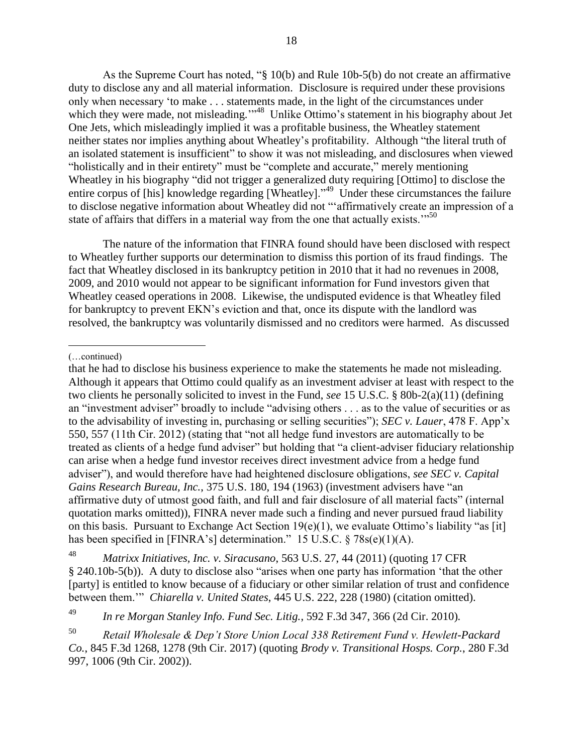As the Supreme Court has noted, "§ 10(b) and Rule 10b-5(b) do not create an affirmative duty to disclose any and all material information. Disclosure is required under these provisions only when necessary 'to make . . . statements made, in the light of the circumstances under which they were made, not misleading."<sup>48</sup> Unlike Ottimo's statement in his biography about Jet One Jets, which misleadingly implied it was a profitable business, the Wheatley statement neither states nor implies anything about Wheatley's profitability. Although "the literal truth of an isolated statement is insufficient" to show it was not misleading, and disclosures when viewed "holistically and in their entirety" must be "complete and accurate," merely mentioning Wheatley in his biography "did not trigger a generalized duty requiring [Ottimo] to disclose the entire corpus of [his] knowledge regarding [Wheatley]."<sup>49</sup> Under these circumstances the failure to disclose negative information about Wheatley did not "'affirmatively create an impression of a state of affairs that differs in a material way from the one that actually exists."<sup>50</sup>

The nature of the information that FINRA found should have been disclosed with respect to Wheatley further supports our determination to dismiss this portion of its fraud findings. The fact that Wheatley disclosed in its bankruptcy petition in 2010 that it had no revenues in 2008, 2009, and 2010 would not appear to be significant information for Fund investors given that Wheatley ceased operations in 2008. Likewise, the undisputed evidence is that Wheatley filed for bankruptcy to prevent EKN's eviction and that, once its dispute with the landlord was resolved, the bankruptcy was voluntarily dismissed and no creditors were harmed. As discussed

 $\overline{a}$ (…continued)

that he had to disclose his business experience to make the statements he made not misleading. Although it appears that Ottimo could qualify as an investment adviser at least with respect to the two clients he personally solicited to invest in the Fund, *see* 15 U.S.C. § 80b-2(a)(11) (defining an "investment adviser" broadly to include "advising others . . . as to the value of securities or as to the advisability of investing in, purchasing or selling securities"); *SEC v. Lauer*, 478 F. App'x 550, 557 (11th Cir. 2012) (stating that "not all hedge fund investors are automatically to be treated as clients of a hedge fund adviser" but holding that "a client-adviser fiduciary relationship can arise when a hedge fund investor receives direct investment advice from a hedge fund adviser"), and would therefore have had heightened disclosure obligations, *see SEC v. Capital Gains Research Bureau, Inc.*, 375 U.S. 180, 194 (1963) (investment advisers have "an affirmative duty of utmost good faith, and full and fair disclosure of all material facts" (internal quotation marks omitted)), FINRA never made such a finding and never pursued fraud liability on this basis. Pursuant to Exchange Act Section  $19(e)(1)$ , we evaluate Ottimo's liability "as [it] has been specified in [FINRA's] determination." 15 U.S.C. § 78s(e)(1)(A).

<sup>48</sup> *Matrixx Initiatives, Inc. v. Siracusano*, 563 U.S. 27, 44 (2011) (quoting 17 CFR § 240.10b-5(b)). A duty to disclose also "arises when one party has information 'that the other [party] is entitled to know because of a fiduciary or other similar relation of trust and confidence between them.'" *Chiarella v. United States*, 445 U.S. 222, 228 (1980) (citation omitted).

<sup>49</sup> *In re Morgan Stanley Info. Fund Sec. Litig.*, 592 F.3d 347, 366 (2d Cir. 2010)*.*

<sup>50</sup> *Retail Wholesale & Dep't Store Union Local 338 Retirement Fund v. Hewlett-Packard Co.*, 845 F.3d 1268, 1278 (9th Cir. 2017) (quoting *Brody v. Transitional Hosps. Corp.*, 280 F.3d 997, 1006 (9th Cir. 2002)).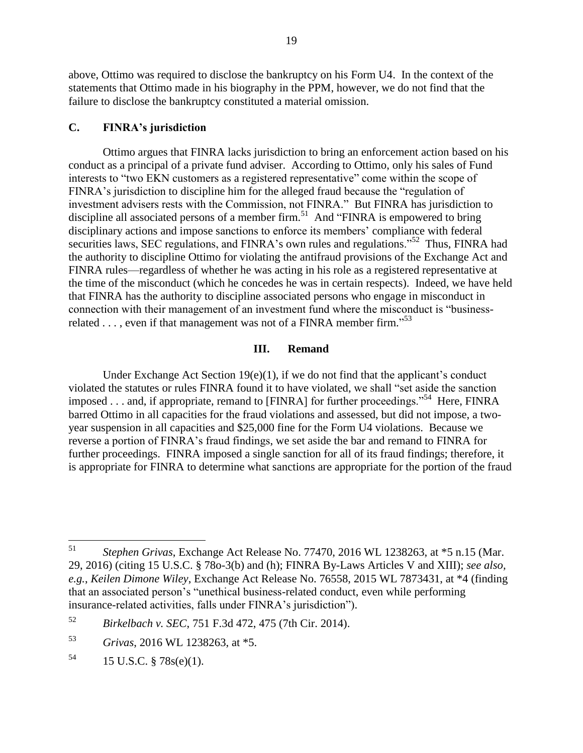above, Ottimo was required to disclose the bankruptcy on his Form U4. In the context of the statements that Ottimo made in his biography in the PPM, however, we do not find that the failure to disclose the bankruptcy constituted a material omission.

#### **C. FINRA's jurisdiction**

Ottimo argues that FINRA lacks jurisdiction to bring an enforcement action based on his conduct as a principal of a private fund adviser. According to Ottimo, only his sales of Fund interests to "two EKN customers as a registered representative" come within the scope of FINRA's jurisdiction to discipline him for the alleged fraud because the "regulation of investment advisers rests with the Commission, not FINRA." But FINRA has jurisdiction to discipline all associated persons of a member firm.<sup>51</sup> And "FINRA is empowered to bring disciplinary actions and impose sanctions to enforce its members' compliance with federal securities laws, SEC regulations, and FINRA's own rules and regulations."<sup>52</sup> Thus, FINRA had the authority to discipline Ottimo for violating the antifraud provisions of the Exchange Act and FINRA rules—regardless of whether he was acting in his role as a registered representative at the time of the misconduct (which he concedes he was in certain respects). Indeed, we have held that FINRA has the authority to discipline associated persons who engage in misconduct in connection with their management of an investment fund where the misconduct is "businessrelated  $\dots$ , even if that management was not of a FINRA member firm."<sup>53</sup>

### **III. Remand**

Under Exchange Act Section  $19(e)(1)$ , if we do not find that the applicant's conduct violated the statutes or rules FINRA found it to have violated, we shall "set aside the sanction imposed . . . and, if appropriate, remand to [FINRA] for further proceedings."<sup>54</sup> Here, FINRA barred Ottimo in all capacities for the fraud violations and assessed, but did not impose, a twoyear suspension in all capacities and \$25,000 fine for the Form U4 violations. Because we reverse a portion of FINRA's fraud findings, we set aside the bar and remand to FINRA for further proceedings. FINRA imposed a single sanction for all of its fraud findings; therefore, it is appropriate for FINRA to determine what sanctions are appropriate for the portion of the fraud

<sup>51</sup> <sup>51</sup> *Stephen Grivas*, Exchange Act Release No. 77470, 2016 WL 1238263, at \*5 n.15 (Mar. 29, 2016) (citing 15 U.S.C. § 78o-3(b) and (h); FINRA By-Laws Articles V and XIII); *see also, e.g.*, *Keilen Dimone Wiley*, Exchange Act Release No. 76558, 2015 WL 7873431, at \*4 (finding that an associated person's "unethical business-related conduct, even while performing insurance-related activities, falls under FINRA's jurisdiction").

<sup>52</sup> *Birkelbach v. SEC*, 751 F.3d 472, 475 (7th Cir. 2014).

<sup>53</sup> *Grivas*, 2016 WL 1238263, at \*5.

 $^{54}$  15 U.S.C. § 78s(e)(1).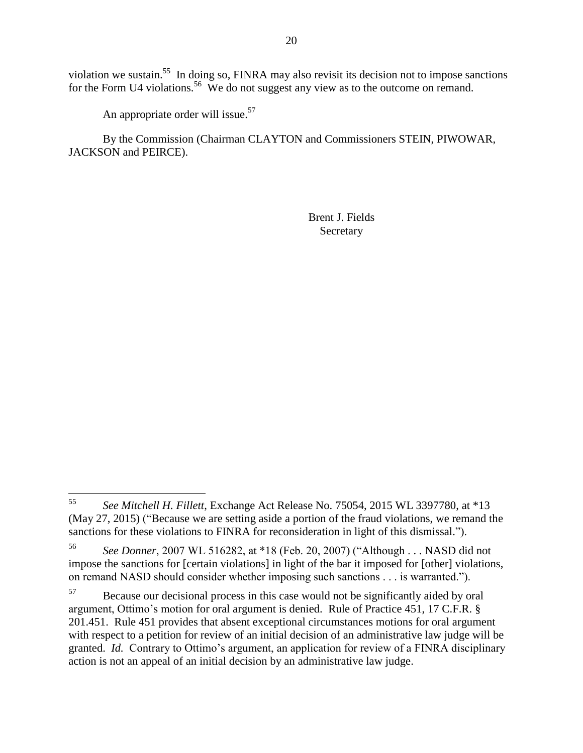violation we sustain.<sup>55</sup> In doing so, FINRA may also revisit its decision not to impose sanctions for the Form U4 violations.<sup>56</sup> We do not suggest any view as to the outcome on remand.

An appropriate order will issue.<sup>57</sup>

By the Commission (Chairman CLAYTON and Commissioners STEIN, PIWOWAR, JACKSON and PEIRCE).

> Brent J. Fields Secretary

<sup>55</sup> <sup>55</sup> *See Mitchell H. Fillett*, Exchange Act Release No. 75054, 2015 WL 3397780, at \*13 (May 27, 2015) ("Because we are setting aside a portion of the fraud violations, we remand the sanctions for these violations to FINRA for reconsideration in light of this dismissal.").

<sup>56</sup> *See Donner*, 2007 WL 516282, at \*18 (Feb. 20, 2007) ("Although . . . NASD did not impose the sanctions for [certain violations] in light of the bar it imposed for [other] violations, on remand NASD should consider whether imposing such sanctions . . . is warranted.").

<sup>&</sup>lt;sup>57</sup> Because our decisional process in this case would not be significantly aided by oral argument, Ottimo's motion for oral argument is denied. Rule of Practice 451, 17 C.F.R. § 201.451. Rule 451 provides that absent exceptional circumstances motions for oral argument with respect to a petition for review of an initial decision of an administrative law judge will be granted. *Id.* Contrary to Ottimo's argument, an application for review of a FINRA disciplinary action is not an appeal of an initial decision by an administrative law judge.